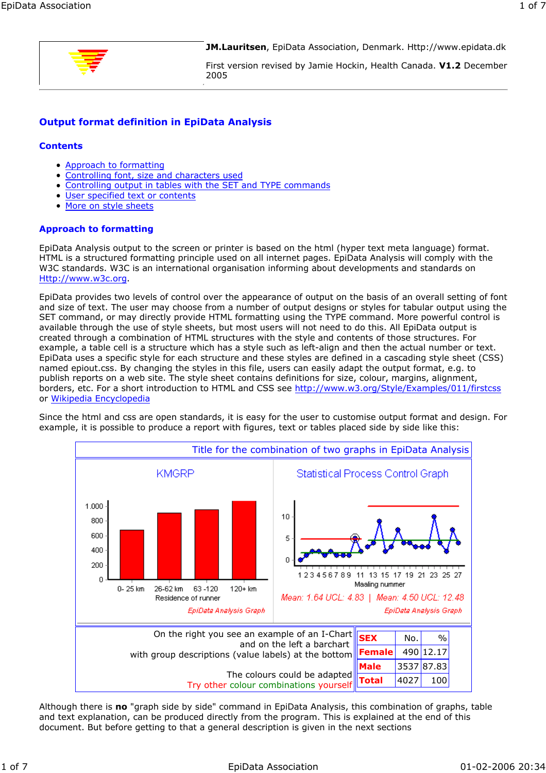

**JM.Lauritsen**, EpiData Association, Denmark. Http://www.epidata.dk

First version revised by Jamie Hockin, Health Canada. **V1.2** December 2005

# **Output format definition in EpiData Analysis**

### **Contents**

- Approach to formatting
- Controlling font, size and characters used
- Controlling output in tables with the SET and TYPE commands
- User specified text or contents
- More on style sheets  $\bullet$

# **Approach to formatting**

EpiData Analysis output to the screen or printer is based on the html (hyper text meta language) format. HTML is a structured formatting principle used on all internet pages. EpiData Analysis will comply with the W3C standards. W3C is an international organisation informing about developments and standards on Http://www.w3c.org.

EpiData provides two levels of control over the appearance of output on the basis of an overall setting of font and size of text. The user may choose from a number of output designs or styles for tabular output using the SET command, or may directly provide HTML formatting using the TYPE command. More powerful control is available through the use of style sheets, but most users will not need to do this. All EpiData output is created through a combination of HTML structures with the style and contents of those structures. For example, a table cell is a structure which has a style such as left-align and then the actual number or text. EpiData uses a specific style for each structure and these styles are defined in a cascading style sheet (CSS) named epiout.css. By changing the styles in this file, users can easily adapt the output format, e.g. to publish reports on a web site. The style sheet contains definitions for size, colour, margins, alignment, borders, etc. For a short introduction to HTML and CSS see http://www.w3.org/Style/Examples/011/firstcss or Wikipedia Encyclopedia

Since the html and css are open standards, it is easy for the user to customise output format and design. For example, it is possible to produce a report with figures, text or tables placed side by side like this:



Although there is **no** "graph side by side" command in EpiData Analysis, this combination of graphs, table and text explanation, can be produced directly from the program. This is explained at the end of this document. But before getting to that a general description is given in the next sections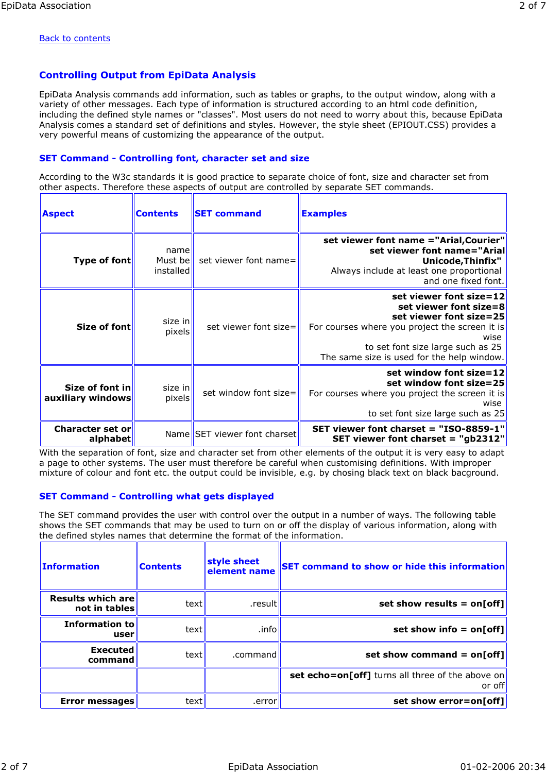#### Back to contents

# **Controlling Output from EpiData Analysis**

EpiData Analysis commands add information, such as tables or graphs, to the output window, along with a variety of other messages. Each type of information is structured according to an html code definition, including the defined style names or "classes". Most users do not need to worry about this, because EpiData Analysis comes a standard set of definitions and styles. However, the style sheet (EPIOUT.CSS) provides a very powerful means of customizing the appearance of the output.

### **SET Command - Controlling font, character set and size**

According to the W3c standards it is good practice to separate choice of font, size and character set from other aspects. Therefore these aspects of output are controlled by separate SET commands.

| <b>Aspect</b>                        | <b>Contents</b>              | <b>SET command</b>                | <b>Examples</b>                                                                                                                                                                                                           |
|--------------------------------------|------------------------------|-----------------------------------|---------------------------------------------------------------------------------------------------------------------------------------------------------------------------------------------------------------------------|
| Type of font                         | name<br>Must be<br>installed | set viewer font name=             | set viewer font name ="Arial, Courier"<br>set viewer font name="Arial<br>Unicode, Thinfix"<br>Always include at least one proportional<br>and one fixed font.                                                             |
| Size of font                         | size in<br>pixels            | set viewer font size= $\parallel$ | set viewer font size=12<br>set viewer font size=8<br>set viewer font size=25<br>For courses where you project the screen it is<br>wise<br>to set font size large such as 25<br>The same size is used for the help window. |
| Size of font in<br>auxiliary windows | size in<br>pixels            | set window font size=             | set window font size= $12$<br>set window font size=25<br>For courses where you project the screen it is<br>wise<br>to set font size large such as 25                                                                      |
| <b>Character set or</b><br>alphabet  |                              | Name SET viewer font charset      | SET viewer font charset = "ISO-8859-1"<br>SET viewer font charset $=$ "gb2312"                                                                                                                                            |

With the separation of font, size and character set from other elements of the output it is very easy to adapt a page to other systems. The user must therefore be careful when customising definitions. With improper mixture of colour and font etc. the output could be invisible, e.g. by chosing black text on black bacground.

### **SET Command - Controlling what gets displayed**

The SET command provides the user with control over the output in a number of ways. The following table shows the SET commands that may be used to turn on or off the display of various information, along with the defined styles names that determine the format of the information.

| <b>SET command to show or hide this information</b>         | style sheet<br>element name | <b>Contents</b> | <b>Information</b>                 |
|-------------------------------------------------------------|-----------------------------|-----------------|------------------------------------|
| set show results = $on[off]$                                | .result                     | text            | Results which are<br>not in tables |
| set show info = $on[off]$                                   | .info                       | text            | <b>Information to</b><br>user      |
| set show command = $on[off]$                                | .command                    | text            | <b>Executed</b><br>command         |
| set echo=on[off] turns all three of the above on<br>or offl |                             |                 |                                    |
| set show error=on[off]                                      | .error                      | text            | <b>Error messages</b>              |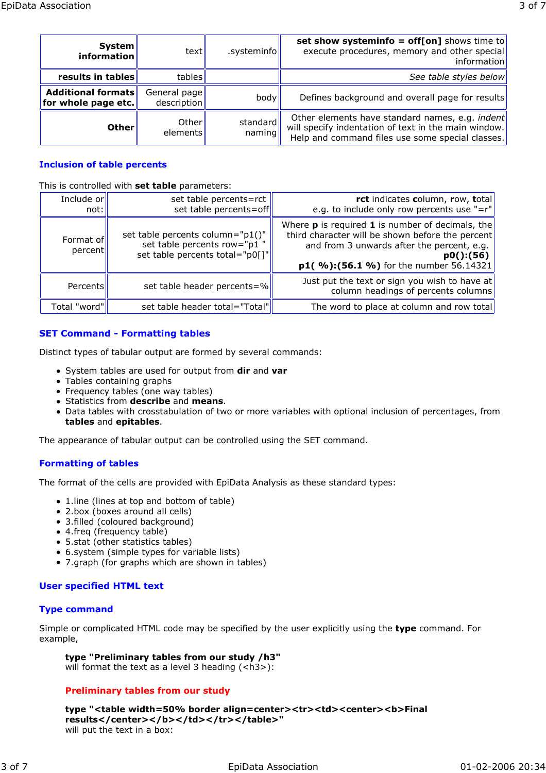Help and command files use some special classes.

# **Inclusion of table percents**

This is controlled with **set table** parameters:

| Include or<br>not:   | set table percents=rct<br>set table percents=off                                                   | rct indicates column, row, total<br>e.g. to include only row percents use "= $r''$                                                                                                                              |
|----------------------|----------------------------------------------------------------------------------------------------|-----------------------------------------------------------------------------------------------------------------------------------------------------------------------------------------------------------------|
| Format of<br>percent | set table percents column="p1()"<br>set table percents row="p1"<br>set table percents total="p0[]" | Where $\bf{p}$ is required 1 is number of decimals, the<br>third character will be shown before the percent<br>and from 3 unwards after the percent, e.g.<br>p0():(56)<br>p1(%):(56.1%) for the number 56.14321 |
| Percents             | set table header percents=%                                                                        | Just put the text or sign you wish to have at<br>column headings of percents columns                                                                                                                            |
| Total "word"         | set table header total="Total"                                                                     | The word to place at column and row total                                                                                                                                                                       |

# **SET Command - Formatting tables**

Distinct types of tabular output are formed by several commands:

- System tables are used for output from **dir** and **var**
- Tables containing graphs
- Frequency tables (one way tables)
- Statistics from **describe** and **means**.
- Data tables with crosstabulation of two or more variables with optional inclusion of percentages, from **tables** and **epitables**.

The appearance of tabular output can be controlled using the SET command.

# **Formatting of tables**

The format of the cells are provided with EpiData Analysis as these standard types:

- 1. line (lines at top and bottom of table)
- 2.box (boxes around all cells)
- 3.filled (coloured background)
- 4.freq (frequency table)
- 5.stat (other statistics tables)
- 6.system (simple types for variable lists)
- 7.graph (for graphs which are shown in tables)

# **User specified HTML text**

# **Type command**

Simple or complicated HTML code may be specified by the user explicitly using the **type** command. For example,

**type "Preliminary tables from our study /h3"** will format the text as a level 3 heading (<h3>):

# **Preliminary tables from our study**

**type "<table width=50% border align=center><tr><td><center><b>Final** results</center></b></td></tr></tr></table>" will put the text in a box: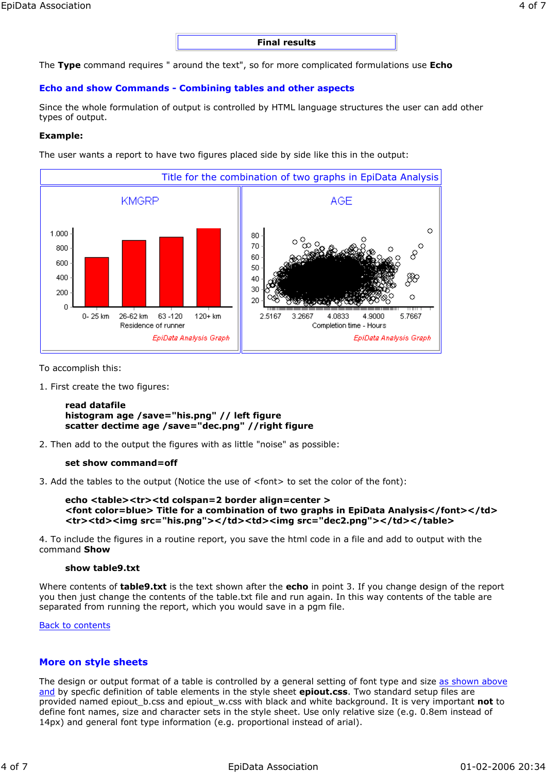**Final results**

The **Type** command requires " around the text", so for more complicated formulations use **Echo**

### **Echo and show Commands - Combining tables and other aspects**

Since the whole formulation of output is controlled by HTML language structures the user can add other types of output.

### **Example:**

The user wants a report to have two figures placed side by side like this in the output:



To accomplish this:

1. First create the two figures:

#### **read datafile histogram age /save="his.png" // left figure scatter dectime age /save="dec.png" //right figure**

2. Then add to the output the figures with as little "noise" as possible:

#### **set show command=off**

3. Add the tables to the output (Notice the use of <font> to set the color of the font):

```
echo <table><tr><td colspan=2 border align=center >
<font color=blue> Title for a combination of two graphs in EpiData Analysis</font></td>
<tr><td><img src="his.png"></td><td><img src="dec2.png"></td></table>
```
4. To include the figures in a routine report, you save the html code in a file and add to output with the command **Show**

#### **show table9.txt**

Where contents of **table9.txt** is the text shown after the **echo** in point 3. If you change design of the report you then just change the contents of the table.txt file and run again. In this way contents of the table are separated from running the report, which you would save in a pgm file.

#### Back to contents

### **More on style sheets**

The design or output format of a table is controlled by a general setting of font type and size as shown above and by specfic definition of table elements in the style sheet **epiout.css**. Two standard setup files are provided named epiout\_b.css and epiout\_w.css with black and white background. It is very important **not** to define font names, size and character sets in the style sheet. Use only relative size (e.g. 0.8em instead of 14px) and general font type information (e.g. proportional instead of arial).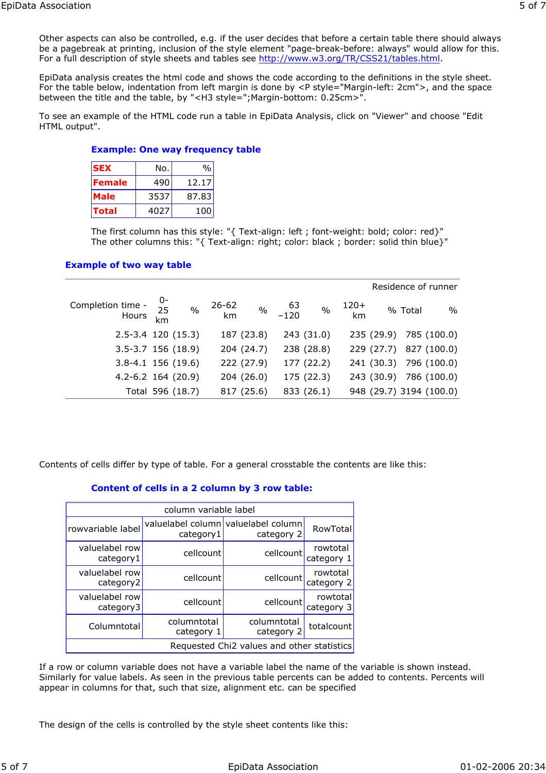Other aspects can also be controlled, e.g. if the user decides that before a certain table there should always be a pagebreak at printing, inclusion of the style element "page-break-before: always" would allow for this. For a full description of style sheets and tables see http://www.w3.org/TR/CSS21/tables.html.

EpiData analysis creates the html code and shows the code according to the definitions in the style sheet. For the table below, indentation from left margin is done by <P style="Margin-left: 2cm">, and the space between the title and the table, by "<H3 style=";Margin-bottom: 0.25cm>".

To see an example of the HTML code run a table in EpiData Analysis, click on "Viewer" and choose "Edit HTML output".

### **Example: One way frequency table**

| <b>SEX</b>    | No.  | $\%$  |
|---------------|------|-------|
| <b>Female</b> | 490  | 12.17 |
| <b>Male</b>   | 3537 | 87.83 |
| <b>Total</b>  | 4027 | 100   |

The first column has this style: "{ Text-align: left ; font-weight: bold; color: red}" The other columns this: "{ Text-align: right; color: black ; border: solid thin blue}"

### **Example of two way table**

|                            |                    |                  |                 |               |        |               |           |         | Residence of runner     |
|----------------------------|--------------------|------------------|-----------------|---------------|--------|---------------|-----------|---------|-------------------------|
| Completion time -<br>Hours | $rac{0}{25}$<br>km | $\frac{0}{0}$    | $26 - 62$<br>km | $\frac{0}{0}$ | $-120$ | $\frac{0}{0}$ | $120+$ km | % Total | $\%$                    |
| $2.5 - 3.4$ 120 (15.3)     |                    |                  |                 | 187 (23.8)    |        | 243 (31.0)    |           |         | 235 (29.9) 785 (100.0)  |
| $3.5 - 3.7$ 156 (18.9)     |                    |                  |                 | 204 (24.7)    |        | 238 (28.8)    |           |         | 229 (27.7) 827 (100.0)  |
| $3.8 - 4.1$ 156 (19.6)     |                    |                  |                 | 222 (27.9)    |        | 177 (22.2)    |           |         | 241 (30.3) 796 (100.0)  |
| $4.2 - 6.2$ 164 (20.9)     |                    |                  |                 | 204 (26.0)    |        | 175 (22.3)    |           |         | 243 (30.9) 786 (100.0)  |
|                            |                    | Total 596 (18.7) |                 | 817 (25.6)    |        | 833 (26.1)    |           |         | 948 (29.7) 3194 (100.0) |

Contents of cells differ by type of table. For a general crosstable the contents are like this:

### **Content of cells in a 2 column by 3 row table:**

| column variable label                      |                           |                                                   |                        |  |  |  |  |
|--------------------------------------------|---------------------------|---------------------------------------------------|------------------------|--|--|--|--|
| rowvariable label                          | category1                 | valuelabel column valuelabel column<br>category 2 | RowTotal               |  |  |  |  |
| valuelabel row<br>category1                | cellcount                 | cellcount                                         | rowtotal<br>category 1 |  |  |  |  |
| valuelabel row<br>category2                | cellcount                 | cellcount                                         | rowtotal<br>category 2 |  |  |  |  |
| valuelabel row<br>category3                | cellcount                 | cellcount                                         | rowtotal<br>category 3 |  |  |  |  |
| Columntotal                                | columntotal<br>category 1 | columntotal<br>category 2                         | totalcount             |  |  |  |  |
| Requested Chi2 values and other statistics |                           |                                                   |                        |  |  |  |  |

If a row or column variable does not have a variable label the name of the variable is shown instead. Similarly for value labels. As seen in the previous table percents can be added to contents. Percents will appear in columns for that, such that size, alignment etc. can be specified

The design of the cells is controlled by the style sheet contents like this: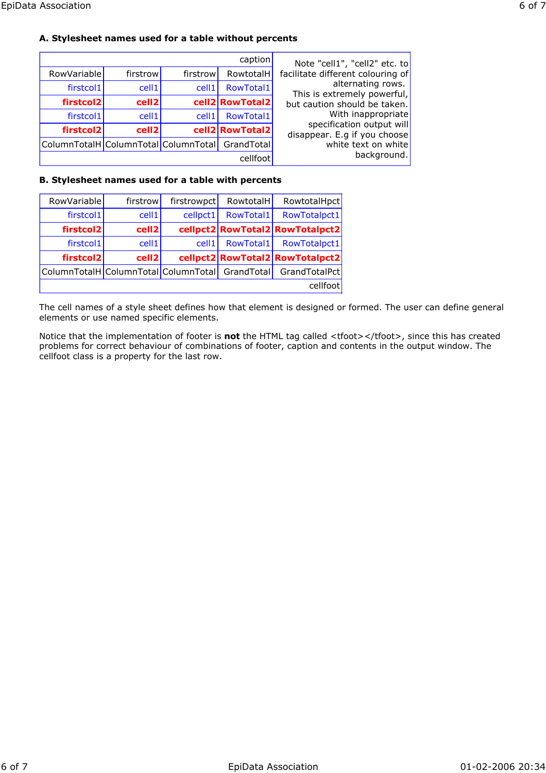| Note "cell1", "cell2" etc. to                             | caption         |                   |                   |                                                 |
|-----------------------------------------------------------|-----------------|-------------------|-------------------|-------------------------------------------------|
| facilitate different colouring of                         | RowtotalH       | firstrow          | firstrow          | RowVariable                                     |
| alternating rows.<br>This is extremely powerful,          | RowTotal1       | cell <sub>1</sub> | cell1             | firstcol1                                       |
| but caution should be taken.                              | cell2 RowTotal2 |                   | cell <sub>2</sub> | firstcol2                                       |
| With inappropriate                                        | RowTotal1       | cell <sub>1</sub> | cell1             | firstcol1                                       |
| specification output will<br>disappear. E.g if you choose | cell2 RowTotal2 |                   | cell <sub>2</sub> | firstcol2                                       |
| white text on white                                       |                 |                   |                   | ColumnTotalH ColumnTotal ColumnTotal GrandTotal |
| background.                                               | cellfoot        |                   |                   |                                                 |

## **B. Stylesheet names used for a table with percents**

| RowVariable                                     | firstrow | firstrowpct       | RowtotalH | RowtotalHpct                    |
|-------------------------------------------------|----------|-------------------|-----------|---------------------------------|
| firstcol1                                       | cell1    | cellpct1          | RowTotal1 | RowTotalpct1                    |
| firstcol2                                       | cell2    |                   |           | cellpct2 RowTotal2 RowTotalpct2 |
| firstcol1                                       | cell1    | cell <sub>1</sub> | RowTotal1 | RowTotalpct1                    |
| firstcol2                                       | cell2    |                   |           | cellpct2 RowTotal2 RowTotalpct2 |
| ColumnTotalH ColumnTotal ColumnTotal GrandTotal |          |                   |           | GrandTotalPct                   |
|                                                 |          |                   |           | cellfoot                        |

The cell names of a style sheet defines how that element is designed or formed. The user can define general elements or use named specific elements.

Notice that the implementation of footer is **not** the HTML tag called <tfoot></tfoot>, since this has created problems for correct behaviour of combinations of footer, caption and contents in the output window. The cellfoot class is a property for the last row.